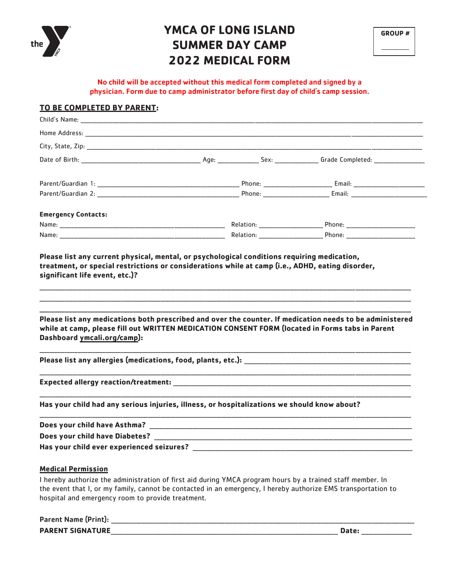

 $\mathbb{R}^4$ 

# **YMCA OF LONG ISLAND SUMMER DAY CAMP 2022 MEDICAL FORM**

| <b>GROUP#</b> |  |
|---------------|--|
|               |  |

 $\frac{1}{4}$ 

#### No child will be accepted without this medical form completed and signed by a physician. Form due to camp administrator before first day of child's camp session.

#### **TO BE COMPLETED BY PARENT:**

| <b>Emergency Contacts:</b>                                                                                                                                                                                                        |  |                                                                                                          |
|-----------------------------------------------------------------------------------------------------------------------------------------------------------------------------------------------------------------------------------|--|----------------------------------------------------------------------------------------------------------|
|                                                                                                                                                                                                                                   |  |                                                                                                          |
|                                                                                                                                                                                                                                   |  |                                                                                                          |
| Please list any current physical, mental, or psychological conditions requiring medication,<br>treatment, or special restrictions or considerations while at camp (i.e., ADHD, eating disorder,<br>significant life event, etc.)? |  |                                                                                                          |
|                                                                                                                                                                                                                                   |  |                                                                                                          |
|                                                                                                                                                                                                                                   |  | Please list any medications both prescribed and over the counter. If medication needs to be administered |
| while at camp, please fill out WRITTEN MEDICATION CONSENT FORM (located in Forms tabs in Parent<br>Dashboard ymcali.org/camp):                                                                                                    |  |                                                                                                          |
|                                                                                                                                                                                                                                   |  |                                                                                                          |

| Does your child have Asthma?              |  |
|-------------------------------------------|--|
| Does your child have Diabetes?            |  |
| Has your child ever experienced seizures? |  |

#### **Medical Permission**

I hereby authorize the administration of first aid during YMCA program hours by a trained staff member. In the event that I, or my family, cannot be contacted in an emergency, I hereby authorize EMS transportation to hospital and emergency room to provide treatment.

| <b>Parent Name</b> |                        |
|--------------------|------------------------|
| <b>PARFNT</b>      | Nate                   |
| <b>CIGN</b>        |                        |
|                    | ______________________ |